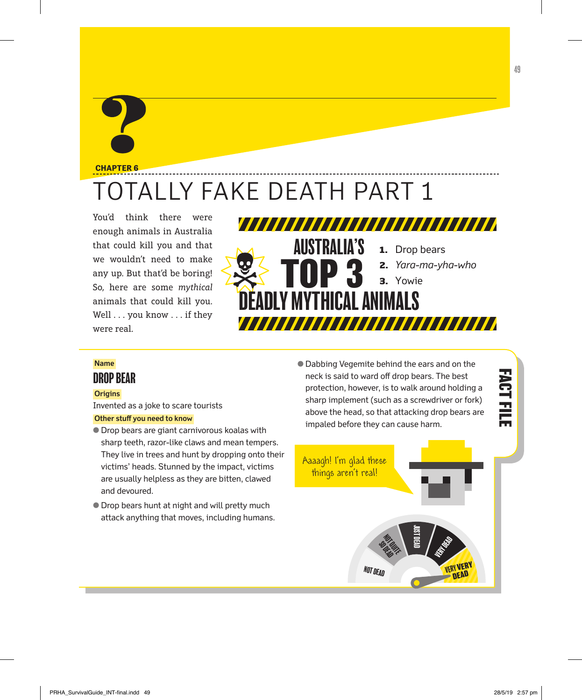## **CHAPTER 6**

## OTALLY FAKE DEATH PART 1

You'd think there were enough animals in Australia that could kill you and that we wouldn't need to make any up. But that'd be boring! So, here are some *mythical* animals that could kill you. Well . . . you know . . . if they were real.



## **Name**

## DROP BEAR

## **Origins**

Invented as a joke to scare tourists

## **Other stuff you need to know**

- **Drop bears are giant carnivorous koalas with** sharp teeth, razor-like claws and mean tempers. They live in trees and hunt by dropping onto their victims' heads. Stunned by the impact, victims are usually helpless as they are bitten, clawed and devoured.
- **Drop bears hunt at night and will pretty much** attack anything that moves, including humans.

**• Dabbing Vegemite behind the ears and on the** neck is said to ward off drop bears. The best protection, however, is to walk around holding a sharp implement (such as a screwdriver or fork) above the head, so that attacking drop bears are impaled before they can cause harm.



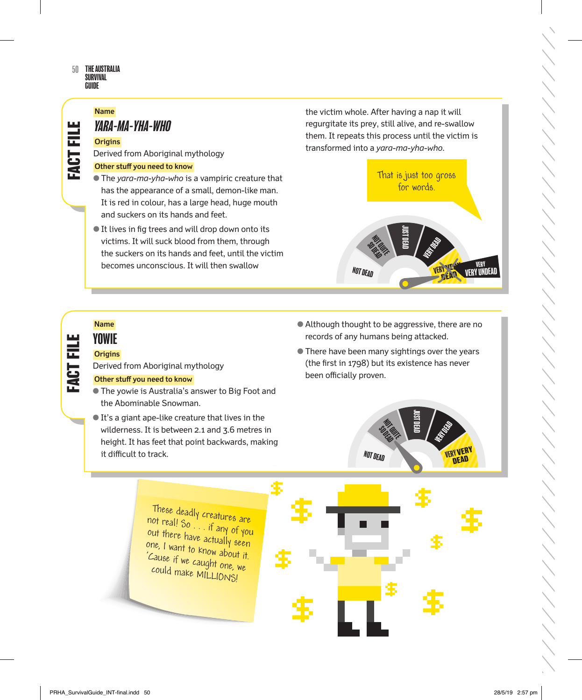## THE AUSTRALIA **SURVIVAL** GUIDE 50

## **Name**

듮

FACT

## YARA-MA-YHA-wHO

## **Origins**

Derived from Aboriginal mythology

## **Other stuff you need to know**

- R The *yara-ma-yha-who* is a vampiric creature that has the appearance of a small, demon-like man. It is red in colour, has a large head, huge mouth and suckers on its hands and feet.
- It lives in fig trees and will drop down onto its victims. It will suck blood from them, through the suckers on its hands and feet, until the victim becomes unconscious. It will then swallow

the victim whole. After having a nap it will regurgitate its prey, still alive, and re-swallow them. It repeats this process until the victim is transformed into a *yara-ma-yha-who*.



# **FACT FILE FACT FILE FACT FILE FACT FILE**  FACT FILI

## **Name YOWIE**

## **Origins**

Derived from Aboriginal mythology

## **Other stuff you need to know**

- **The yowie is Australia's answer to Big Foot and** the Abominable Snowman.
- $\bullet$  It's a giant ape-like creature that lives in the wilderness. It is between 2.1 and 3.6 metres in height. It has feet that point backwards, making it difficult to track.
- Although thought to be aggressive, there are no records of any humans being attacked.
- **There have been many sightings over the years** (the first in 1798) but its existence has never been officially proven.



These deadly creatures are not real! So . . . if any of you out there have actually seen one, I want to know about it. 'Cause if we caught one, we could make MILLIONS!